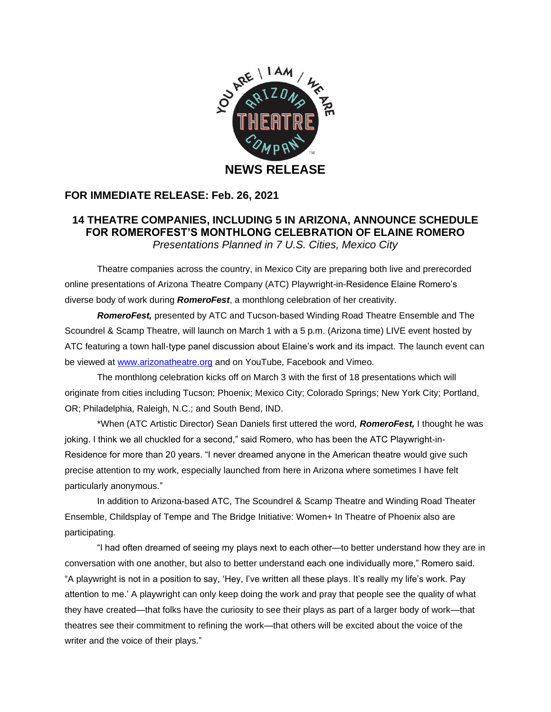

## **FOR IMMEDIATE RELEASE: Feb. 26, 2021**

## **14 THEATRE COMPANIES, INCLUDING 5 IN ARIZONA, ANNOUNCE SCHEDULE FOR ROMEROFEST'S MONTHLONG CELEBRATION OF ELAINE ROMERO** *Presentations Planned in 7 U.S. Cities, Mexico City*

Theatre companies across the country, in Mexico City are preparing both live and prerecorded online presentations of Arizona Theatre Company (ATC) Playwright-in-Residence Elaine Romero's diverse body of work during *RomeroFest*, a monthlong celebration of her creativity.

*RomeroFest,* presented by ATC and Tucson-based Winding Road Theatre Ensemble and The Scoundrel & Scamp Theatre, will launch on March 1 with a 5 p.m. (Arizona time) LIVE event hosted by ATC featuring a town hall-type panel discussion about Elaine's work and its impact. The launch event can be viewed at [www.arizonatheatre.org](http://www.arizonatheatre.org/) and on YouTube, Facebook and Vimeo.

The monthlong celebration kicks off on March 3 with the first of 18 presentations which will originate from cities including Tucson; Phoenix; Mexico City; Colorado Springs; New York City; Portland, OR; Philadelphia, Raleigh, N.C.; and South Bend, IND.

\*When (ATC Artistic Director) Sean Daniels first uttered the word, *RomeroFest,* I thought he was joking. I think we all chuckled for a second," said Romero, who has been the ATC Playwright-in-Residence for more than 20 years. "I never dreamed anyone in the American theatre would give such precise attention to my work, especially launched from here in Arizona where sometimes I have felt particularly anonymous."

In addition to Arizona-based ATC, The Scoundrel & Scamp Theatre and Winding Road Theater Ensemble, Childsplay of Tempe and The Bridge Initiative: Women+ In Theatre of Phoenix also are participating.

"I had often dreamed of seeing my plays next to each other—to better understand how they are in conversation with one another, but also to better understand each one individually more," Romero said. "A playwright is not in a position to say, 'Hey, I've written all these plays. It's really my life's work. Pay attention to me.' A playwright can only keep doing the work and pray that people see the quality of what they have created—that folks have the curiosity to see their plays as part of a larger body of work—that theatres see their commitment to refining the work—that others will be excited about the voice of the writer and the voice of their plays."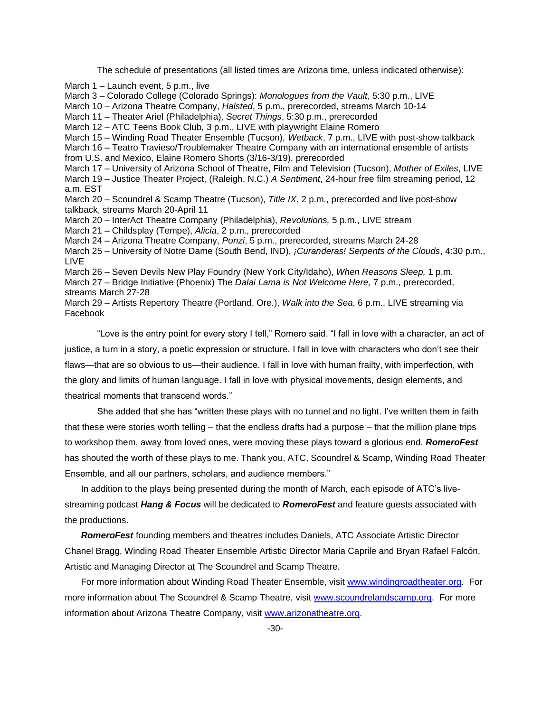The schedule of presentations (all listed times are Arizona time, unless indicated otherwise):

March 1 – Launch event, 5 p.m., live March 3 – Colorado College (Colorado Springs): *Monologues from the Vault*, 5:30 p.m., LIVE March 10 – Arizona Theatre Company, *Halsted*, 5 p.m., prerecorded, streams March 10-14 March 11 – Theater Ariel (Philadelphia), *Secret Things*, 5:30 p.m., prerecorded March 12 – ATC Teens Book Club, 3 p.m., LIVE with playwright Elaine Romero March 15 – Winding Road Theater Ensemble (Tucson), *Wetback*, 7 p.m., LIVE with post-show talkback March 16 – Teatro Travieso/Troublemaker Theatre Company with an international ensemble of artists from U.S. and Mexico, Elaine Romero Shorts (3/16-3/19), prerecorded March 17 – University of Arizona School of Theatre, Film and Television (Tucson), *Mother of Exiles*, LIVE March 19 – Justice Theater Project, (Raleigh, N.C.) *A Sentiment*, 24-hour free film streaming period, 12 a.m. EST March 20 – Scoundrel & Scamp Theatre (Tucson), *Title IX*, 2 p.m., prerecorded and live post-show talkback, streams March 20-April 11 March 20 – InterAct Theatre Company (Philadelphia), *Revolutions,* 5 p.m., LIVE stream March 21 – Childsplay (Tempe), *Alicia*, 2 p.m., prerecorded March 24 – Arizona Theatre Company, *Ponzi*, 5 p.m., prerecorded, streams March 24-28 March 25 – University of Notre Dame (South Bend, IND), *¡Curanderas! Serpents of the Clouds*, 4:30 p.m., LIVE March 26 – Seven Devils New Play Foundry (New York City/Idaho), *When Reasons Sleep,* 1 p.m. March 27 – Bridge Initiative (Phoenix) The *Dalai Lama is Not Welcome Here,* 7 p.m., prerecorded, streams March 27-28 March 29 – Artists Repertory Theatre (Portland, Ore.), *Walk into the Sea*, 6 p.m., LIVE streaming via Facebook

"Love is the entry point for every story I tell," Romero said. "I fall in love with a character, an act of justice, a turn in a story, a poetic expression or structure. I fall in love with characters who don't see their flaws—that are so obvious to us—their audience. I fall in love with human frailty, with imperfection, with the glory and limits of human language. I fall in love with physical movements, design elements, and theatrical moments that transcend words."

She added that she has "written these plays with no tunnel and no light. I've written them in faith that these were stories worth telling – that the endless drafts had a purpose – that the million plane trips to workshop them, away from loved ones, were moving these plays toward a glorious end. *RomeroFest*  has shouted the worth of these plays to me. Thank you, ATC, Scoundrel & Scamp, Winding Road Theater Ensemble, and all our partners, scholars, and audience members."

In addition to the plays being presented during the month of March, each episode of ATC's livestreaming podcast *Hang & Focus* will be dedicated to *RomeroFest* and feature guests associated with the productions.

*RomeroFest* founding members and theatres includes Daniels, ATC Associate Artistic Director Chanel Bragg, Winding Road Theater Ensemble Artistic Director Maria Caprile and Bryan Rafael Falcón, Artistic and Managing Director at The Scoundrel and Scamp Theatre.

For more information about Winding Road Theater Ensemble, visit [www.windingroadtheater.org.](http://www.windingroadtheater.org/) For more information about The Scoundrel & Scamp Theatre, visit [www.scoundrelandscamp.org.](http://www.scoundrelandscamp.org/) For more information about Arizona Theatre Company, visit [www.arizonatheatre.org.](http://www.arizonatheatre.org/)